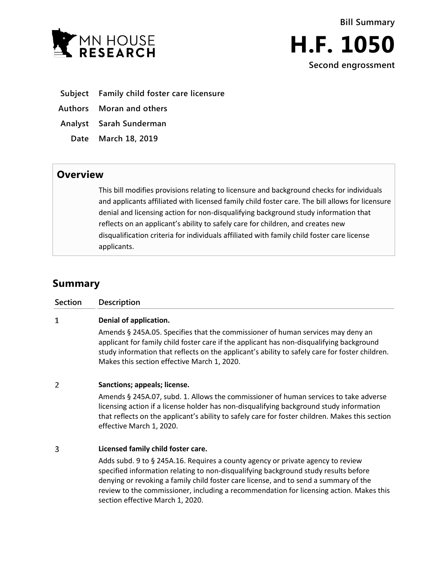



- **Subject Family child foster care licensure**
- **Authors Moran and others**
- **Analyst Sarah Sunderman**
- **Date March 18, 2019**

## **Overview**

This bill modifies provisions relating to licensure and background checks for individuals and applicants affiliated with licensed family child foster care. The bill allows for licensure denial and licensing action for non-disqualifying background study information that reflects on an applicant's ability to safely care for children, and creates new disqualification criteria for individuals affiliated with family child foster care license applicants.

# **Summary**

| <b>Section</b> | <b>Description</b>                                                                                                                                                                                                                                                                                                                                                                            |
|----------------|-----------------------------------------------------------------------------------------------------------------------------------------------------------------------------------------------------------------------------------------------------------------------------------------------------------------------------------------------------------------------------------------------|
| 1              | Denial of application.<br>Amends § 245A.05. Specifies that the commissioner of human services may deny an                                                                                                                                                                                                                                                                                     |
|                | applicant for family child foster care if the applicant has non-disqualifying background<br>study information that reflects on the applicant's ability to safely care for foster children.<br>Makes this section effective March 1, 2020.                                                                                                                                                     |
| $\overline{2}$ | Sanctions; appeals; license.                                                                                                                                                                                                                                                                                                                                                                  |
|                | Amends § 245A.07, subd. 1. Allows the commissioner of human services to take adverse<br>licensing action if a license holder has non-disqualifying background study information<br>that reflects on the applicant's ability to safely care for foster children. Makes this section<br>effective March 1, 2020.                                                                                |
| 3              | Licensed family child foster care.                                                                                                                                                                                                                                                                                                                                                            |
|                | Adds subd. 9 to § 245A.16. Requires a county agency or private agency to review<br>specified information relating to non-disqualifying background study results before<br>denying or revoking a family child foster care license, and to send a summary of the<br>review to the commissioner, including a recommendation for licensing action. Makes this<br>section effective March 1, 2020. |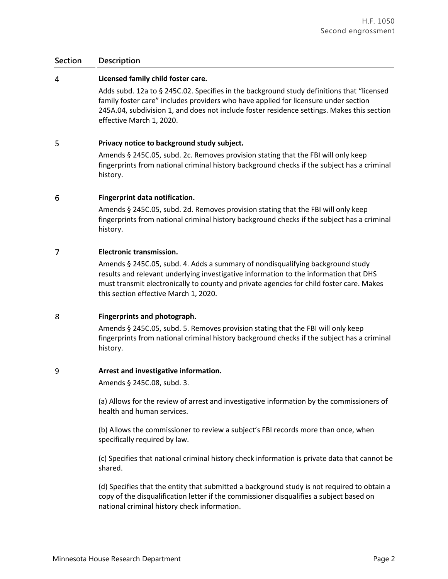## **Section Description**

#### $\overline{4}$ **Licensed family child foster care.**

Adds subd. 12a to § 245C.02. Specifies in the background study definitions that "licensed family foster care" includes providers who have applied for licensure under section 245A.04, subdivision 1, and does not include foster residence settings. Makes this section effective March 1, 2020.

#### 5 **Privacy notice to background study subject.**

Amends § 245C.05, subd. 2c. Removes provision stating that the FBI will only keep fingerprints from national criminal history background checks if the subject has a criminal history.

#### 6 **Fingerprint data notification.**

Amends § 245C.05, subd. 2d. Removes provision stating that the FBI will only keep fingerprints from national criminal history background checks if the subject has a criminal history.

#### $\overline{7}$ **Electronic transmission.**

Amends § 245C.05, subd. 4. Adds a summary of nondisqualifying background study results and relevant underlying investigative information to the information that DHS must transmit electronically to county and private agencies for child foster care. Makes this section effective March 1, 2020.

#### 8 **Fingerprints and photograph.**

Amends § 245C.05, subd. 5. Removes provision stating that the FBI will only keep fingerprints from national criminal history background checks if the subject has a criminal history.

#### 9 **Arrest and investigative information.**

Amends § 245C.08, subd. 3.

(a) Allows for the review of arrest and investigative information by the commissioners of health and human services.

(b) Allows the commissioner to review a subject's FBI records more than once, when specifically required by law.

(c) Specifies that national criminal history check information is private data that cannot be shared.

(d) Specifies that the entity that submitted a background study is not required to obtain a copy of the disqualification letter if the commissioner disqualifies a subject based on national criminal history check information.